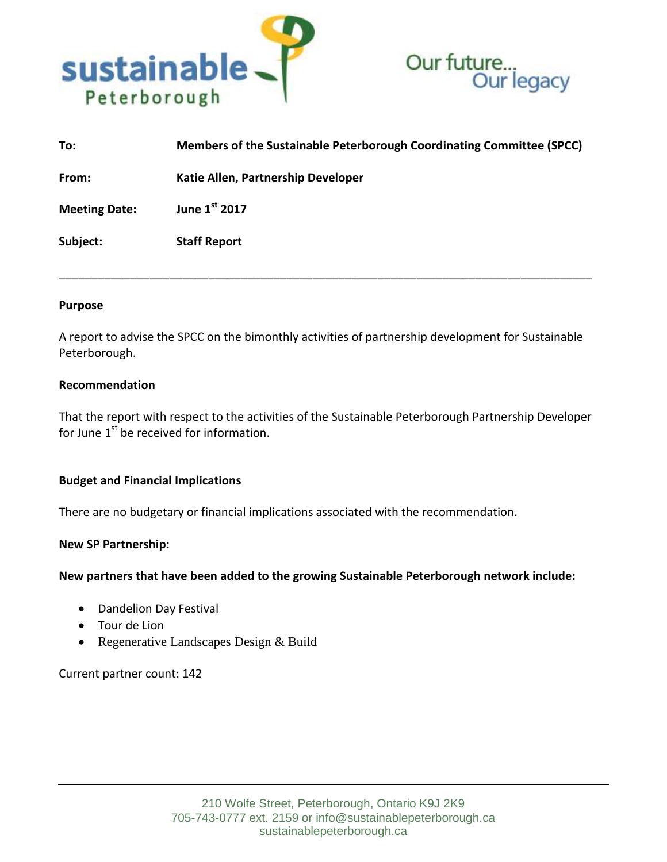



| To:                  | Members of the Sustainable Peterborough Coordinating Committee (SPCC) |
|----------------------|-----------------------------------------------------------------------|
| From:                | Katie Allen, Partnership Developer                                    |
| <b>Meeting Date:</b> | June 1st 2017                                                         |
| Subject:             | <b>Staff Report</b>                                                   |

### **Purpose**

A report to advise the SPCC on the bimonthly activities of partnership development for Sustainable Peterborough.

\_\_\_\_\_\_\_\_\_\_\_\_\_\_\_\_\_\_\_\_\_\_\_\_\_\_\_\_\_\_\_\_\_\_\_\_\_\_\_\_\_\_\_\_\_\_\_\_\_\_\_\_\_\_\_\_\_\_\_\_\_\_\_\_\_\_\_\_\_\_\_\_\_\_\_\_\_\_\_\_\_\_

### **Recommendation**

That the report with respect to the activities of the Sustainable Peterborough Partnership Developer for June  $1<sup>st</sup>$  be received for information.

## **Budget and Financial Implications**

There are no budgetary or financial implications associated with the recommendation.

### **New SP Partnership:**

**New partners that have been added to the growing Sustainable Peterborough network include:**

- Dandelion Day Festival
- Tour de Lion
- Regenerative Landscapes Design & Build

Current partner count: 142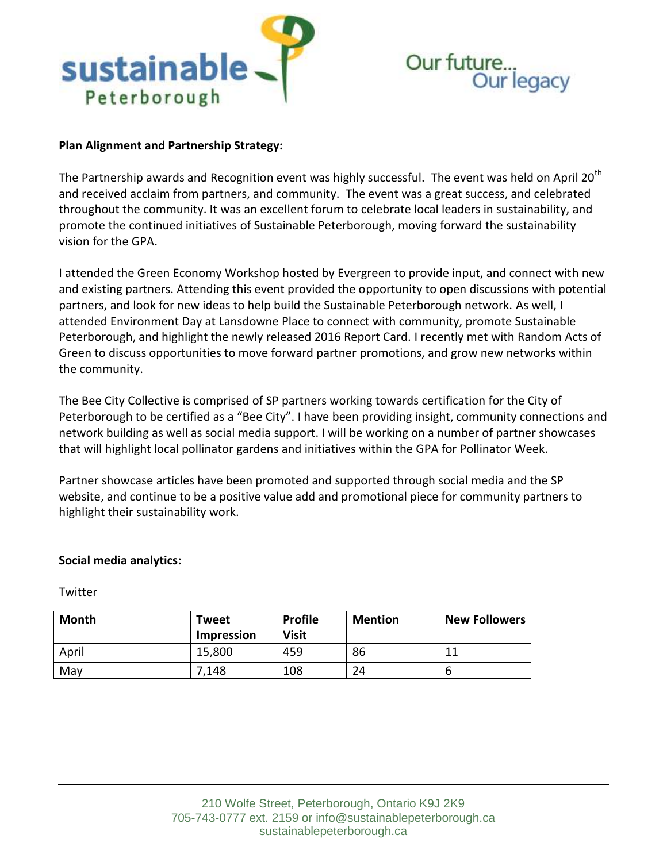

# Our future. ture...<br>Our legacy

# **Plan Alignment and Partnership Strategy:**

The Partnership awards and Recognition event was highly successful. The event was held on April 20<sup>th</sup> and received acclaim from partners, and community. The event was a great success, and celebrated throughout the community. It was an excellent forum to celebrate local leaders in sustainability, and promote the continued initiatives of Sustainable Peterborough, moving forward the sustainability vision for the GPA.

I attended the Green Economy Workshop hosted by Evergreen to provide input, and connect with new and existing partners. Attending this event provided the opportunity to open discussions with potential partners, and look for new ideas to help build the Sustainable Peterborough network. As well, I attended Environment Day at Lansdowne Place to connect with community, promote Sustainable Peterborough, and highlight the newly released 2016 Report Card. I recently met with Random Acts of Green to discuss opportunities to move forward partner promotions, and grow new networks within the community.

The Bee City Collective is comprised of SP partners working towards certification for the City of Peterborough to be certified as a "Bee City". I have been providing insight, community connections and network building as well as social media support. I will be working on a number of partner showcases that will highlight local pollinator gardens and initiatives within the GPA for Pollinator Week.

Partner showcase articles have been promoted and supported through social media and the SP website, and continue to be a positive value add and promotional piece for community partners to highlight their sustainability work.

## **Social media analytics:**

**Twitter** 

| Month | Tweet<br>Impression | <b>Profile</b><br><b>Visit</b> | <b>Mention</b> | <b>New Followers</b> |
|-------|---------------------|--------------------------------|----------------|----------------------|
| April | 15,800              | 459                            | 86             | 11                   |
| May   | .148                | 108                            | 24             | b                    |